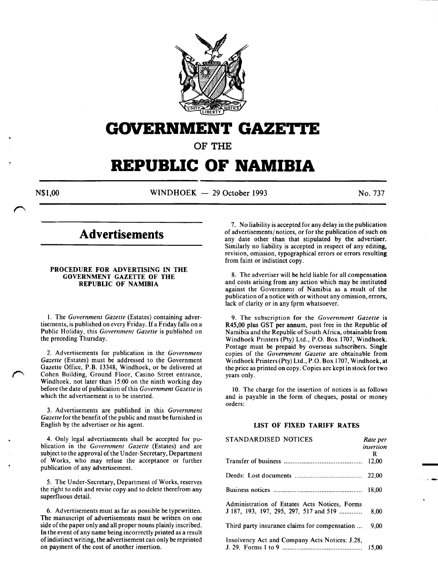

# **GOVERNMENT GAZE'I.I'E**

**OF THE** 

# **REPUBLIC OF NAMIBIA**

N\$1,00 WINDHOEK - 29 October 1993 No. 737

-<br>-<br>-

# **Advertisements**

# PROCEDURE FOR ADVERTISING IN THE GOVERNMENT GAZETTE OF THE REPUBLIC OF NAMIBIA

l. The *Government Gazette* (Estates) containing advertisements, is published on every Friday. If a Friday falls on a Public Holiday, this *Government Gazette* is published on the preceding Thursday.

2. Advertisements for publication in the *Government Gazette* (Estates) must be addressed to the Government Gazette Office, P.B. 13348, Windhoek, or be delivered at Cohen Building, Ground Floor, Casino Street entrance, Windhoek, not later than 15:00 on the ninth working day before the date of publication of this *Government Gazette* in which the advertisement is to be inserted.

3. Advertisements are published in this *Government Gazette* for the benefit of the public and must be furnished in English by the advertiser or his agent.

4. Only legal advertisements shall be accepted for publication in the *Government Gazette* (Estates) and are subject to the approval of the Under-Secretary, Department of Works, who may refuse the acceptance or further publication of any advertisement.

5. The Under-Secretary, Department of Works, reserves the right to edit and revise copy and to delete therefrom any superfluous detail.

6. Advertisements must as far as possible be typewritten. The manuscript of advertisements must be written on one side of the paper only and all proper nouns plainly inscribed. In the event of any name being incorrectly printed as a result of indistinct writing, the advertisement can only be reprinted on payment of the cost of another insertion.

7. No liability is accepted for any delay in the publication of advertisements/ notices, or for the publication of such on any date other than that stipulated by the advertiser. Similarly no liability is accepted in respect of any editing, revision, omission, typographical errors or errors resulting from faint or indistinct copy.

8. The advertiser will be held liable for all compensation and costs arising from any action which may be instituted against the Government of Namibia as a result of the publication of a notice with or without any omission, errors, lack of clarity or in any form whatsoever.

9. The subscription for the *Government Gazette* is R45,00 plus GST per annum, post free in the Republic of Namibia and the Republic of South Africa, obtainable from Windhoek Printers (Pty) Ltd., P.O. Box 1707, Windhoek. Postage must be prepaid by overseas subscribers. Single copies of the *Government Gazette* are obtainable from Windhoek Printers (Pty) Ltd., P.O. Box 1707, Windhoek, at the price as printed on copy. Copies are kept in stock for two years only.

10. The charge for the insertion of notices is as follows and is payable in the form of cheques, postal or money orders:

# LIST OF FIXED TARIFF RATES

| STANDARDISED NOTICES                                                                    | Rate per<br>insertion<br>R |
|-----------------------------------------------------------------------------------------|----------------------------|
|                                                                                         | 12.00                      |
|                                                                                         |                            |
|                                                                                         | 18.00                      |
| Administration of Estates Acts Notices, Forms<br>J 187, 193, 197, 295, 297, 517 and 519 | 8.00                       |
| Third party insurance claims for compensation                                           | 9.00                       |
| Insolvency Act and Company Acts Notices: J.28.                                          | 15.00                      |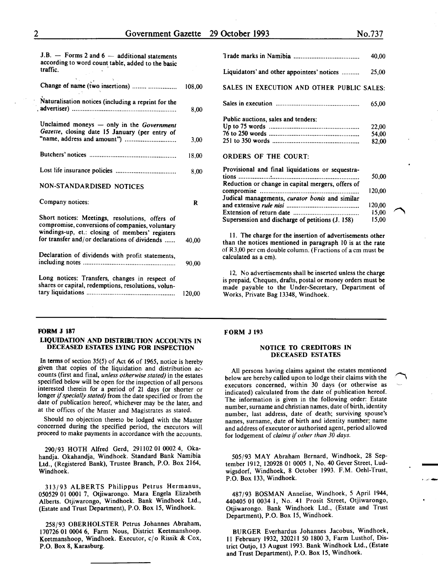15,00

"""'

| $J.B.$ — Forms 2 and 6 — additional statements<br>according to word count table, added to the basic<br>traffic.                                       |        |
|-------------------------------------------------------------------------------------------------------------------------------------------------------|--------|
| Change of name (two insertions)                                                                                                                       | 108,00 |
| Naturalisation notices (including a reprint for the                                                                                                   | 8,00   |
| Unclaimed moneys - only in the Government<br>Gazette, closing date 15 January (per entry of                                                           | 3,00   |
|                                                                                                                                                       | 18,00  |
|                                                                                                                                                       | 8,00   |
| NON-STANDARDISED NOTICES                                                                                                                              |        |
| Company notices:                                                                                                                                      | R      |
| Short notices: Meetings, resolutions, offers of<br>compromise, conversions of companies, voluntary<br>windings-up, et.: closing of members' registers |        |
| for transfer and/or declarations of dividends                                                                                                         | 40.00  |
| Declaration of dividends with profit statements,                                                                                                      | 90,00  |
|                                                                                                                                                       |        |

# FORM J 187

# LIQUIDATION AND DISTRIBUTION ACCOUNTS IN DECEASED ESTATES LYING FOR INSPECTION

In terms of section 35(5) of Act 66 of 1965, notice is hereby given that copies of the liquidation and distribution accounts (first and final, *unless otherwise stated)* in the estates specified below will be open for the inspection of all persons interested therein for a period of 21 days (or shorter or longer if *specially stated)* from the date specified or from the date of publication hereof, whichever may be the later, and at the offices of the Master and Magistrates as stated.

Should no objection thereto be lodged with the Master concerned during the specified period, the executors will proceed to make payments in accordance with the accounts.

290/93 HOTH Alfred Gerd, 291102 01 0002 4, Okahandja. Okahandja, Windhoek. Standard Bank Namibia Ltd., (Registered Bank), Trustee Branch, P.O. Box 2164, Windhoek.

313/93 ALBERTS Philippus Petrus Hermanus, 050529 OJ 0001 7, Otjiwarongo. Mara Engela Elizabeth Alberts. Otjiwarongo, Windhoek. Bank Windhoek Ltd., (Estate and Trust Department), P.O. Box 15, Windhoek.

258/93 OBERHOLSTER Petrus Johannes Abraham, 170726 01 0004 6, Farm Nous, District Keetmanshoop. Keetmanshoop, Windhoek. Executor,  $c/\sigma$  Rissik & Cox, P.O. Box 8, Karasburg.

|                                                   | 40,00  |
|---------------------------------------------------|--------|
| Liquidators' and other appointees' notices        | 25,00  |
| SALES IN EXECUTION AND OTHER PUBLIC SALES:        |        |
|                                                   | 65,00  |
| Public auctions, sales and tenders:               |        |
|                                                   | 22,00  |
|                                                   | 54.00  |
|                                                   | 82,00  |
| <b>ORDERS OF THE COURT:</b>                       |        |
| Provisional and final liquidations or sequestra-  |        |
|                                                   | 50,00  |
| Reduction or change in capital mergers, offers of |        |
|                                                   | 120,00 |
| Judical managements, curator bonis and similar    |        |
|                                                   | 120,00 |
|                                                   | 15,00  |
|                                                   |        |

II. The charge for the insertion of advertisements other than the notices mentioned in paragraph 10 is at the rate of R3,00 per em double column. (Fractions of a em must be calculated as a em).

Supersession and discharge of petitions (J. 158)

12. No advertisements shall be inserted unless the charge is prepaid. Cheques, drafts, postal or money orders must be made payable to the Under-Secretary, Department of Works, Private Bag 13348, Windhoek.

# FORM J 193

# NOTICE TO CREDITORS IN DECEASED ESTATES

All persons having claims against the estates mentioned below are hereby called upon to lodge their claims with the executors concerned, within 30 days (or otherwise as indicated) calculated from the date of publication hereof. The information is given in the following order: Estate number, surname and christian names, date of birth, identity number, last address, date of death; surviving spouse's names, surname, date of birth and identity number; name and address of executor or authorised agent, period allowed for lodgement of *claims* if *other than 30 days.* 

505/93 MAY Abraham Bernard, Windhoek, 28 September 1912, 120928 01 0005 I, No. 40 Gever Street, Lud- wigsdorf, Windhoek, 8 October 1993. F.M. Oehl-Trust, P.O. Box 133, Windhoek.

487/93 BOSMAN Annelise, Windhoek, *5* April 1944, 440405 01 0034 1, No. 41 Prosit Street, Otjiwarongo, Otiiwarongo. Bank Windhoek Ltd., (Estate and Trust Department), P.O. Box 15, Windhoek.

BURGER Everhardus Johannes Jacobus, Windhoek, II February 1932, 320211 50 1800 3, Farm Lusthof, District Outjo, l3 August 1993. Bank Windhoek Ltd., (Estate and Trust Department), P.O. Box 15, Windhoek.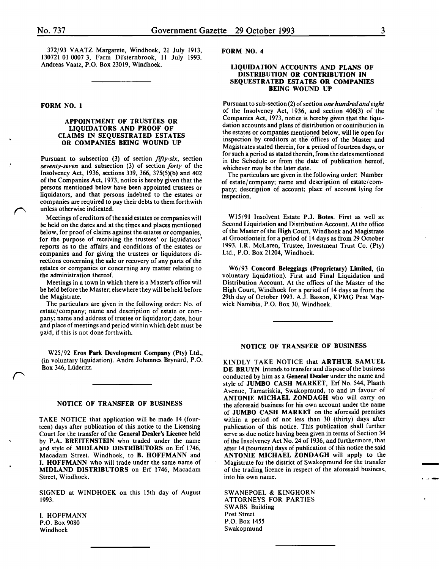372193 VAATZ Margarete, Windhoek, 21 July 1913, 130721 01 0007 3, Farm Dusternbrook, II July 1993. Andreas Vaatz, P.O. Box 23019, Windhoek.

# FORM NO.1

# APPOINTMENT OF TRUSTEES OR LIQUIDATORS AND PROOF OF CLAIMS IN SEQUESTRATED ESTATES OR COMPANIES BEING WOUND UP

Pursuant to subsection (3) of section *fifty-six,* section *seventy-seven* and subsection (3) of section *forty* of the Insolvency Act, 1936, sections 339, 366, 375(5)(b) and 402 of the Companies Act, 1973, notice is hereby given that the persons mentioned below have been appointed trustees or liquidators, and that persons indebted to the estates or companies are required to pay their debts to them forthwith unless otherwise indicated.

Meetings of creditors of the said estates or companies will be held on the dates and at the times and places mentioned below, for proof of claims against the estates or companies, for the purpose of receiving the trustees' or liquidators' reports as to the affairs and conditions of the estates or companies and for giving the trustees or liquidators directions concerning the sale or recovery of any parts of the estates or companies or concerning any matter relating to the administration thereof.

Meetings in a town in which there is a Master's office will be held before the Master; elsewhere they will be held before the Magistrate.

The particulars are given in the following order: No. of estate/company; name and description of estate or company; name and address of trustee or liquidator; date, hour and place of meetings and period within which debt must be paid, if this is not done forthwith.

W25/92 Eros Park Development Company (Pty) Ltd., (in voluntary liquidation). Andre Johannes Brynard, P.O. Box 346, Luderitz.

#### NOTICE OF TRANSFER OF BUSINESS

TAKE NOTICE that application will be made 14 (fourteen) days after publication of this notice to the Licensing Court for the transfer of the General Dealer's Licence held by P.A. BREITENSTEIN who traded under the name and style of MIDLAND DISTRIBUTORS on Erf 1746, Macadam Street, Windhoek, to B. HOFFMANN and I. HOFFMANN who will trade under the same name of MIDLAND DISTRIBUTORS on Erf 1746, Macadam Street, Windhoek.

SIGNED at WINDHOEK on this 15th day of August 1993.

I. HOFFMANN P.O. Box 9080 Windhoek

# FORM NO.4

# LIQUIDATION ACCOUNTS AND PLANS OF DISTRIBUTION OR CONTRIBUTION IN SEQUESTRATED ESTATES OR COMPANIES BEING WOUND UP

Pursuant to sub-section (2) of section *one hundred and eight*  of the Insolvency Act,  $1936$ , and section  $406(3)$  of the Companies Act, 1973, notice is hereby given that the liquidation accounts and plans of distribution or contribution in the estates or companies mentioned below, will lie open for inspection by creditors at the offices of the Master and Magistrates stated therein, for a period of fourteen days, or for such a period as stated therein, from the dates mentioned in the Schedule or from the date of publication hereof, whichever may be the later date.

The particulars are given in the following order: Number of estate/company; name and description of estate/company; description of account; place of account lying for inspection.

WIS/91 Insolvent Estate P.J. Botes. First as well as Second Liquidation and Distribution Account. At the office of the Master of the High Court, Windhoek and Magistrate at Grootfontein for a period of 14 days as from 29 October 1993. I.R. McLaren, Trustee, Investment Trust Co. (Pty) Ltd., P.O. Box 21204, Windhoek.

W6193 Concord Beleggings (Proprietary) Limited, (in voluntary liquidation). First and Final Liquidation and Distribution Account. At the offices of the Master of the High Court, Windhoek for a period of 14 days as from the 29th day of October 1993. A.J. Hasson, KPMG Peat Marwick Namibia, P.O. Box 30, Windhoek.

# NOTICE OF TRANSFER OF BUSINESS

KINDLY TAKE NOTICE that ARTHUR SAMUEL DE BRUYN intends to transfer and dispose of the business conducted by him as a General Dealer under the name and style of JUMBO CASH MARKET, Erf No. 544, Plaath Avenue, Tamariskia, Swakopmund, to and in favour of ANTONIE MICHAEL ZONDAGH who will carry on the aforesaid business for his own account under the name of JUMBO CASH MARKET on the aforesaid premises within a period of not less than 30 (thirty) days after publication of this notice. This publication shall further serve as due notice having been given in terms of Section 34 of the Insolvency Act No. 24 of 1936, and furthermore, that after 14 (fourteen) days of publication of this notice the said ANTONIE MICHAEL ZONDAGH will apply to the Magistrate for the district of Swakopmund for the transfer of the trading licence in respect of the aforesaid business, into his own name.

SWANEPOEL & KINGHORN ATTORNEYS FOR PARTIES SWABS Building Post Street P.O. Box 1455 Swakopmund

-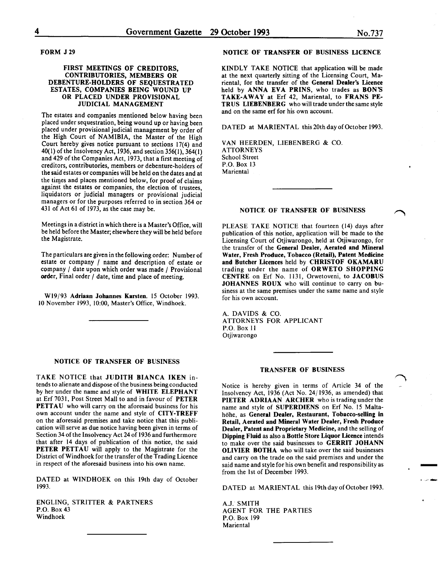FORM J29

# FIRST MEETINGS OF CREDITORS, CONTRIBUTORIES, MEMBERS OR DEBENTURE-HOLDERS OF SEQUESTRATED ESTATES, COMPANIES BEING WOUND UP OR PLACED UNDER PROVISIONAL JUDICIAL MANAGEMENT

The estates and companies mentioned below having been placed under sequestration, being wound up or having been placed under provisional judicial management by order of the High Court of NAMIBIA, the Master of the High Court hereby gives notice pursuant to sections 17(4) and 40(!) of the Insolvency Act, 1936, and section 356(1), 364(1) and 429 of the Companies Act, 1973, that a first meeting of creditors, contributories, members or debenture-holders of the said estates or companies will be held on the dates and at the times and places mentioned below, for proof of claims against the estates or companies, the election of trustees, liquidators or judicial managers or provisional judicial managers or for the purposes referred to in section 364 or 431 of Act 61 of 1973, as the case may be.

Meetings in a district in which there is a Master's Office, will be held before the Master; elsewhere they will be held before the Magistrate.

The particulars are given in the following order: Number of estate or company / name and description of estate or company / date upon which order was made / Provisional order, Final order / date, time and place of meeting.

Wl9/93 Adriaan Johannes Karsten. 15 October 1993. 10 November 1993, 10:00, Master's Office, Windhoek.

#### NOTICE OF TRANSFER OF BUSINESS

TAKE NOTICE that JUDITH BIANCA IKEN intends to alienate and dispose of the business being conducted by her under the name and style of WHITE ELEPHANT at Erf 7031, Post Street Mall to and in favour of PETER PETTAU who will carry on the aforesaid business for his own account under the name and style of CITY-TREFF on the aforesaid premises and take notice that this publication will serve as due notice having been given in terms of Section 34 of the Insolvency Act 24 of 1936 and furthermore that after 14 days of publication of this notice, the said PETER PETTAU will apply to the Magistrate for the District of Windhoek for the transfer of the Trading Licence in respect of the aforesaid business into his own name.

DATED at WINDHOEK on this 19th day of October 1993.

ENGLING, STRITTER & PARTNERS P.O. Box 43 Windhoek

# NOTICE OF TRANSFER OF BUSINESS LICENCE

KINDLY TAKE NOTICE that application will be made at the next quarterly sitting of the Licensing Court, Mariental, for the transfer of the General Dealer's Licence held by ANNA EVA PRINS, who trades as BON'S TAKE-AWAY at Erf 42, Mariental, to FRANS PE-TRUS LIEBENBERG who will trade under the same style and on the same erf for his own account.

DATED at MARIENTAL this 20th day of October 1993.

VAN HEERDEN, LIESENBERG & CO. ATTORNEYS School Street P.O. Box 13 **Mariental** 

#### NOTICE OF TRANSFER OF BUSINESS

PLEASE TAKE NOTICE that fourteen (14) days after publication of this notice, application will be made to the Licensing Court of Otjiwarongo, held at Otjiwarongo, for the transfer of the General Dealer, Aerated and Mineral Water, Fresh Produce, Tobacco (Retail), Patent Medicine and Butcher Licences held by CHRISTOF OKAMARU trading under the name of ORWETO SHOPPING CENTRE on Erf No. 1131, Orwetoveni, to JACOBUS JOHANNES ROUX who will continue to carry on business at the same premises under the same name and style for his own account.

A. DAVIDS & CO. ATTORNEYS FOR APPLICANT P.O. Box II Otjiwarongo

#### TRANSFER OF BUSINESS

Notice is hereby given in terms of Article 34 of the Insolvency Act, 1936 (Act No. 24/1936, as amended) that PIETER ADRIAAN ARCHER who is trading under the name and style of SUPERDIENS on Erf No. 15 Maltahöhe, as General Dealer, Restaurant, Tobacco-selling in Retail, Aerated and Mineral Water Dealer, Fresh Produce Dealer, Patent and Proprietary Medicine, and the selling of Dipping Fluid as also a Bottle Store Liquor Licence intends to make over the said businesses to GERRIT JOHANN OLIVIER BOTHA who will take over the said businesses and carry on the trade on the said premises and under the said name and style for his own benefit and responsibility as from the 1st of December 1993.

DATED at MARIENTAL this 19th day of October 1993.

-

A.J. SMITH AGENT FOR THE PARTIES P.O. Box 199 **Mariental**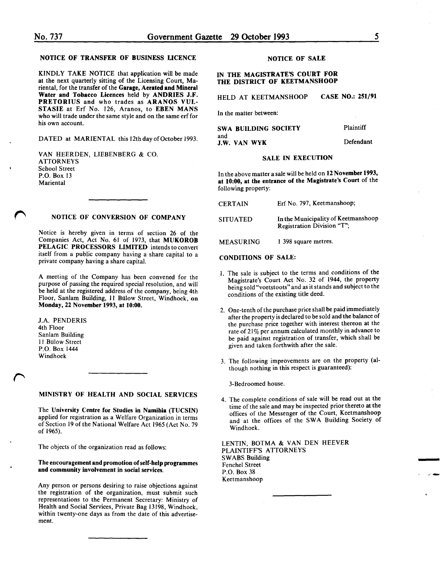# NOTICE OF TRANSFER OF BUSINESS LICENCE

KINDLY TAKE NOTICE that application will be made at the next quarterly sitting of the Licensing Court, Mariental, for the transfer of the Garage, Aerated and Mineral Water and Tobacco Licences held by ANDRIES J.F. PRETORIUS and who trades as ARANOS VUL-STASIE at Erf No. 126, Aranos, to EBEN MANS who will trade under the same style and on the same erf for his own account.

DATED at MARIENTAL this 12th day of October 1993.

VAN HEERDEN, LIEBENBERG & CO. **ATTORNEYS** School Street P.O. Box 13 **Mariental** 

# NOTICE OF CONVERSION OF COMPANY

Notice is hereby given in terms of section 26 of the Companies Act, Act No. 61 of 1973, that MUKOROB PELAGIC PROCESSORS LIMITED intends to convert itself from a public company having a share capital to a private company having a share capital.

A meeting of the Company has been convened for the purpose of passing the required special resolution, and will be held at the registered address of the company, being 4th Floor, Sanlam Building, 11 Biilow Street, Windhoek, on Monday, 22 November 1993, at 10:00.

J.A. PENDERIS 4th Floor Sanlam Building 11 Bulow Street P.O. Box 1444 Windhoek

### MINISTRY OF HEALTH AND SOCIAL SERVICES

The University Centre for Studies in Namibia (TUCSIN) applied for registration as a Welfare Organization in terms of Section 19 of the National Welfare Act 1965 (Act No. 79 of 1965).

The objects of the organization read as follows:

# The encouragement and promotion of self-help programmes and community involvement in social services.

Any person or persons desiring to raise objections against the registration of the organization, must submit such representations to the Permanent Secretary: Ministry of Health and Social Services, Private Bag 13198, Windhoek, within twenty-one days as from the date of this advertisement.

# NOTICE OF SALE

# IN THE MAGISTRATE'S COURT FOR THE DISTRICT OF KEETMANSHOOP

HELD AT KEETMANSHOOP CASE NO.: 251/91

In the matter between:

| SWA BUILDING SOCIETY       | Plaintiff |
|----------------------------|-----------|
| and<br><b>J.W. VAN WYK</b> | Defendant |

# SALE IN EXECUTION

In the above matter a sale will be held on 12 November 1993, at 10:00, at the entrance of the Magistrate's Court of the following property:

| <b>CERTAIN</b>  | Erf No. 797, Keetmanshoop;                                        |
|-----------------|-------------------------------------------------------------------|
| <b>SITUATED</b> | In the Municipality of Keetmanshoop<br>Registration Division "T"; |

MEASURING I 398 square metres.

# CONDITIONS OF SALE:

- I. The sale is subject to the terms and conditions of the Magistrate's Court Act No. 32 of 1944, the property being sold "voetstoots" and as it stands and subject to the conditions of the existing title deed.
- 2. One-tenth of the purchase price shall be paid immediately after the property is declared to be sold and the balance of the purchase price together with interest thereon at the rate of 21% per annum calculated monthly in advance to be paid against registration of transfer, which shall be given and taken forthwith after the sale.
- 3. The following improvements are on the property (although nothing in this respect is guaranteed):

3-Bedroomed house.

4. The complete conditions of sale will be read out at the time of the sale and may be inspected prior thereto at the offices of the Messenger of the Court, Keetmanshoop and at the offices of the SWA Building Society of Windhoek.

-

LENTIN, BOTMA & VAN DEN HEEVER PLAINTIFF'S ATTORNEYS SWABS Building Fenchel Street P.O. Box 38 Keetmanshoop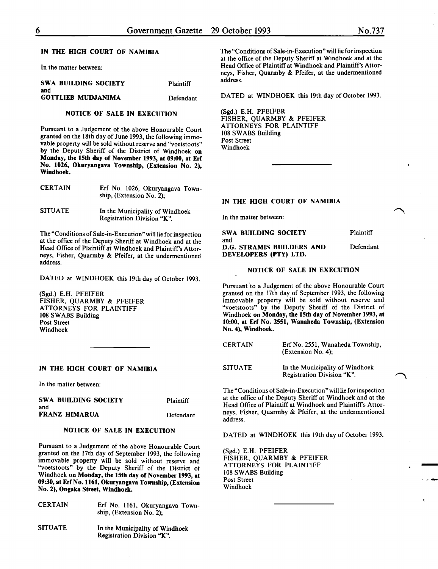In the matter between:

| <b>SWA BUILDING SOCIETY</b><br>and | <b>Plaintiff</b> |
|------------------------------------|------------------|
| <b>GOTTLIEB MUDJANIMA</b>          | Defendant        |

# NOTICE OF SALE IN EXECUTION

Pursuant to a Judgement of the above Honourable Court granted on the 18th day of June 1993, the following immovable property will be sold without reserve and "voetstoots" by the Deputy Sheriff of the District of Windhoek on Monday, the 15th day of November 1993, at 09:00, at Erf No. 1026, Okuryangava Township, (Extension No. 2), Windhoek.

| <b>CERTAIN</b> | Erf No. 1026, Okuryangava Town-<br>ship, (Extension No. 2): |  |
|----------------|-------------------------------------------------------------|--|
| <b>SITUATE</b> | In the Municipality of Windhoek                             |  |

Registration Division "K".

The "Conditions of Sale-in-Execution" will lie for inspection at the office of the Deputy Sheriff at Windhoek and at the Head Office of Plaintiff at Windhoek and Plaintiff's Attorneys, Fisher, Quarmby & Pfeifer, at the undermentioned address.

DATED at WINDHOEK this 19th day of October 1993.

(Sgd.) E.H. PFEIFER FISHER, QUARMBY & PFEIFER ATTORNEYS FOR PLAINTIFF 108 SWABS Building Post Street Windhoek

# IN THE HIGH COURT OF NAMIBIA

In the matter between:

| SWA BUILDING SOCIETY | <b>Plaintiff</b> |
|----------------------|------------------|
| and                  |                  |
| FRANZ HIMARUA        | Defendant        |

#### NOTICE OF SALE IN EXECUTION

Pursuant to a Judgement of the above Honourable Court granted on the 17th day of September 1993, the following immovable property will be sold without reserve and "voetstoots" by the Deputy Sheriff of the District of Windhoek on Monday, the 15th day of November 1993, at 09:30, at Erf No. 1161, Okuryangava Township, (Extension No.2), Ongaka Street, Windhoek.

- **CERTAIN** Erf No. 1161, Okuryangava Township, (Extension No.2);
- SITUATE In the Municipality of Windhoek Registration Division "K".

The "Conditions of Sale-in-Execution" will lie for inspection at the office of the Deputy Sheriff at Windhoek and at the Head Office of Plaintiff at Windhoek and Plaintiff's Attorneys, Fisher, Quarmby & Pfeifer, at the undermentioned address.

DATED at WINDHOEK this 19th day of October 1993.

(Sgd.) E.H. PFEIFER FISHER, QUARMBY & PFEIFER ATTORNEYS FOR PLAINTIFF 108 SWABS Building Post Street Windhoek

#### IN THE HIGH COURT OF NAMIBIA

In the matter between:

SWA BUILDING SOCIETY and D.G. STRAMIS BUILDERS AND DEVELOPERS (PTY) LTD. Plaintiff Defendant

# NOTICE OF SALE IN EXECUTION

Pursuant to a Judgement of the above Honourable Court granted on the 17th day of September 1993, the following immovable property will be sold without reserve and "voetstoots" by the Deputy Sheriff of the District of Windhoek on Monday, the 15th day of November 1993, at 10:00, at Erf No. 2551, Wanaheda Township, (Extension No. 4), Windhoek.

| <b>CERTAIN</b> | Erf No. 2551, Wanaheda Township,<br>(Extension No. 4);        |
|----------------|---------------------------------------------------------------|
| <b>SITUATE</b> | In the Municipality of Windhoek<br>Registration Division "K". |

The "Conditions of Sale-in-Execution" will lie for inspection at the office of the Deputy Sheriff at Windhoek and at the Head Office of Plaintiff at Windhoek and Plaintiff's Attorneys, Fisher, Quarmby & Pfeifer, at the undermentioned address.

DATED at WINDHOEK this 19th day of October 1993.

-

(Sgd.) E.H. PFEIFER FISHER, QUARMBY & PFEIFER ATTORNEYS FOR PLAINTIFF 108 SWABS Building Post Street Windhoek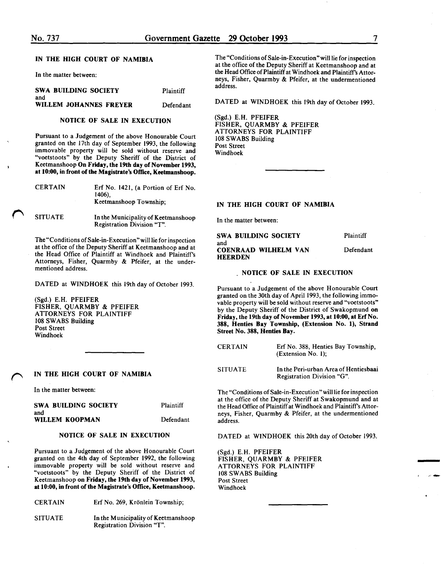In the matter between:

| <b>SWA BUILDING SOCIETY</b><br>and | Plaintiff |
|------------------------------------|-----------|
| WILLEM JOHANNES FREYER             | Defendant |

# NOTICE OF SALE IN EXECUTION

Pursuant to a Judgement of the above Honourable Court granted on the 17th day of September 1993, the following immovable property will be sold without reserve and "voetstoots" by the Deputy Sheriff of the District of Keetmanshoop On Friday, the 19th day of November 1993, at 10:00, in front of the Magistrate's Office, Keetmanshoop.

| <b>CERTAIN</b> | Erf No. 1421, (a Portion of Erf No.<br>1406).<br>Keetmanshoop Township: |
|----------------|-------------------------------------------------------------------------|
| <b>SITUATE</b> | In the Municipality of Keetmanshoop                                     |

Registration Division "T". The "Conditions of Sale-in-Execution" will lie for inspection

at the office of the Deputy Sheriff at Keetmanshoop and at the Head Office of Plaintiff at Windhoek and Plaintiff's Attorneys, Fisher, Quarmby & Pfeifer, at the undermentioned address.

DATED at WINDHOEK this 19th day of October 1993.

(Sgd.) E.H. PFEIFER FISHER, QUARMBY & PFEIFER ATTORNEYS FOR PLAINTIFF 108 SWABS Building Post Street Windhoek

# IN THE HIGH COURT OF NAMIBIA

In the matter between:

| SWA BUILDING SOCIETY | Plaintiff |
|----------------------|-----------|
| and                  |           |
| WILLEM KOOPMAN       | Defendant |

# NOTICE OF SALE IN EXECUTION

Pursuant to a Judgement of the above Honourable Court granted on the 4th day of September 1992, the following immovable property will be sold without reserve and "voetstoots" by the Deputy Sheriff of the District of Keetmanshoop on Friday, the 19th day of November 1993, at 10:00, in front of the Magistrate's Office, Keetmanshoop.

| CERTAIN | Erf No. 269, Krönlein Township; |
|---------|---------------------------------|
|         |                                 |

SITUATE In the Municipality of Keetmanshoop Registration Division "T".

The "Conditions of Sale-in-Execution" will lie for inspection at the office of the Deputy Sheriff at Keetmanshoop and at the Head Office of Plaintiff at Windhoek and Plaintiffs Attorneys, Fisher, Quarmby & Pfeifer, at the undermentioned address.

DATED at WINDHOEK this 19th day of October 1993.

(Sgd.) E.H. PFEIFER FISHER, QUARMBY & PFEIFER ATTORNEYS FOR PLAINTIFF 108 SWABS Building Post Street Windhoek

# IN THE HIGH COURT OF NAMIBIA

In the matter between:

| SWA BUILDING SOCIETY                                 | <b>Plaintiff</b> |
|------------------------------------------------------|------------------|
| and<br><b>COENRAAD WILHELM VAN</b><br><b>HEERDEN</b> | Defendant        |

#### NOTICE OF SALE IN EXECUTION

Pursuant to a Judgement of the above Honourable Court granted on the 30th day of April 1993, the following immovable property will be sold without reserve and "voetstoots" by the Deputy Sheriff of the District of Swakopmund on Friday, the 19th day of November 1993, at 10:00, at Erf No. 388, Henties Bay Township, (Extension No. 1), Strand Street No. 388, Henties Bay.

| <b>CERTAIN</b> | Erf No. 388, Henties Bay Township,<br>(Extension No. 1);            |
|----------------|---------------------------------------------------------------------|
| <b>SITUATE</b> | In the Peri-urban Area of Hentiesbaai<br>Registration Division "G". |

The "Conditions of Sale-in-Execution" will lie for inspection at the office of the Deputy Sheriff at Swakopmund and at the Head Office of Plaintiff at Windhoek and Plaintiff's Attorneys, Fisher, Quarmby & Pfeifer, at the undermentioned address.

DATED at WINDHOEK this 20th day of October 1993.

(Sgd.) E.H. PFEIFER FISHER, QUARMBY & PFEIFER ATTORNEYS FOR PLAINTIFF 108 SWABS Building Post Street Windhoek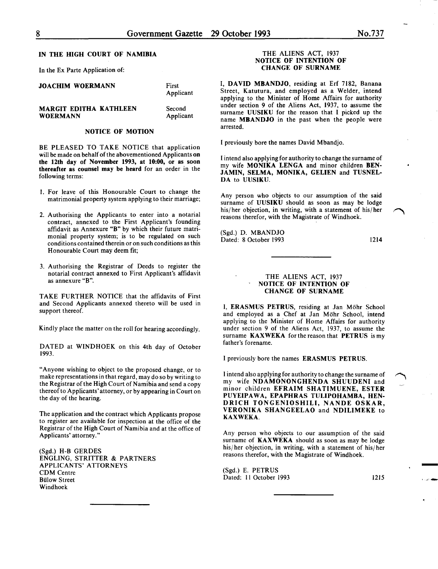Applicant

# IN THE HIGH COURT OF NAMIBIA

In the Ex Parte Application of:

| <b>JOACHIM WOERMANN</b>       | First<br>Applicant |
|-------------------------------|--------------------|
| <b>MARGIT EDITHA KATHLEEN</b> | Second             |

# MARGIT EDITHA KATHLEEN WOERMANN

NOTICE OF MOTION

BE PLEASED TO TAKE NOTICE that application will be made on behalf of the abovementioned Applicants on the 12th day of November 1993, at 10:00, or as soon thereafter as counsel may be heard for an order in the following terms:

- 1. For leave of this Honourable Court to change the matrimonial property system applying to their marriage;
- 2. Authorising the Applicants to enter into a notarial contract, annexed to the First Applicant's founding affidavit as Annexure "B" by which their future matnmonial property system; is to be regulated on such conditions contained therein or on such conditions as this Honourable Court may deem fit;
- 3. Authorising the Registrar of Deeds to register the notarial contract annexed to First Applicant's affidavit as annexure "B".

TAKE FURTHER NOTICE that the affidavits of First and Second Applicants annexed thereto will be used in support thereof.

Kindly place the matter on the roll for hearing accordingly.

DATED at WINDHOEK on this 4th day of October 1993.

"Anyone wishing to object to the proposed change, or to make representations in that regard, may do so by writing to the Registrar of the High Court of Namibia and send a copy thereof to Applicants' attorney, or by appearing in Court on the day of the hearing.

The application and the contract which Applicants propose to register are available for inspection at the office of the Registrar of the High Court of Namibia and at the office of Applicants' attorney."

(Sgd.) H-B GERDES ENGLING, STRITTER & PARTNERS APPLICANTS' ATTORNEYS CDM Centre Biilow Street Windhoek

#### THE ALIENS ACT, 1937 NOTICE OF INTENTION OF CHANGE OF SURNAME

I, DAVID MBANDJO, residing at Erf 7182, Banana Street, Katutura, and employed as a Welder, intend applying to the Minister of Home Affairs for authority under section 9 of the Aliens Act, 1937, to assume the surname UUSIKU for the reason that I picked up the name MBANDJO in the past when the people were arrested.

I previously bore the names David Mbandjo.

I intend also applying for authority to change the surname of my wife MONIKA LENGA and minor children BEN-JAMIN, SELMA, MONIKA, GELIEN and TUSNEL-DA to UUSIKU.

Any person who objects to our assumption of the said surname of UUSIKU should as soon as may be lodge his/her objection, in writing, with a statement of his/her reasons therefor, with the Magistrate of Windhoek.

(Sgd.) D. MBANDJO Dated: 8 October 1993

1214

#### THE ALIENS ACT, 1937 NOTICE OF INTENTION OF CHANGE OF SURNAME

I, ERASMUS PETRUS, residing at Jan Möhr School and employed as a Chef at Jan Möhr School, intend applying to the Minister of Home Affairs for authority under section 9 of the Aliens Act, 1937, to assume the surname KAXWEKA for the reason that PETRUS is my father's forename.

I previously bore the names ERASMUS PETRUS.

I intend also applying for authority to change the surname of my wife NDAMONONGHENDA SHUUDENI and minor children EFRAIM SHATIMUENE, ESTER PUYEIPAWA, EPAPHRAS TULIPOHAMBA, HEN-DRICH TONGENIOSHILI, NANDE OSKAR, VERONIKA SHANGEELAO and NDILIMEKE to KAXWEKA.

Any person who objects to our assumption of the said surname of KAXWEKA should as soon as may be lodge his/ her objection, in writing, with a statement of his/ her reasons therefor, with the Magistrate of Windhoek.

(Sgd.) E. PETRUS Dated: 11 October 1993 1215

-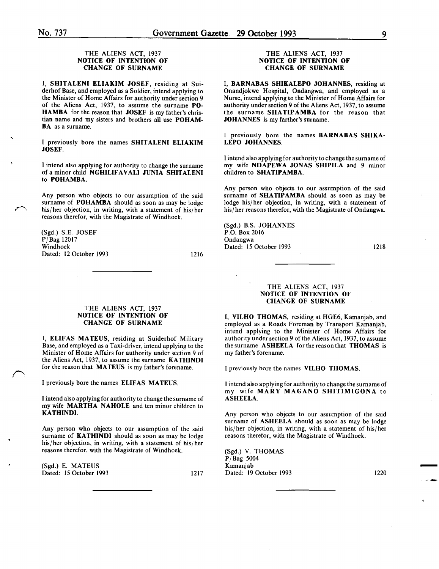-.

 $\mathcal{D}$ 

# THE ALIENS ACT, 1937 NOTICE OF INTENTION OF CHANGE OF SURNAME

I, SHITALENI ELIAKIM JOSEF, residing at Suiderhof Base, and employed as a Soldier, intend applying to the Minister of Home Affairs for authority under section 9 of the Aliens Act, 1937, to assume the surname PO-HAMBA for the reason that JOSEF is my father's christian name and my sisters and brothers all use POHAM-**BA** as a surname.

I previously bore the names SHITALENI ELIAKIM JOSEF.

I intend also applying for authority to change the surname of a minor child NGHILIFAVALI JUNIA SHITALENI to POHAMBA.

Any person who objects to our assumption of the said surname of **POHAMBA** should as soon as may be lodge his/her objection, in writing, with a statement of his/her reasons therefor, with the Magistrate of Windhoek.

(Sgd.) S.E. JOSEF PjBag 12017 Windhoek Dated: 12 October 1993

1216

# THE ALIENS ACT, 1937 NOTICE OF INTENTION OF CHANGE OF SURNAME

I, ELIFAS MATEUS, residing at Suiderhof Military Base, and employed as a Taxi-driver, intend applying to the Minister of Home Affairs for authority under section 9 of the Aliens Act, 1937, to assume the surname KATHINDI for the reason that MATEUS is my father's forename.

I previously bore the names ELIFAS MATEUS.

I intend also applying for authority to change the surname of my wife MARTHA NAHOLE and ten minor children to KATHINDI.

Any person who objects to our assumption of the said surname of KATHINDI should as soon as may be lodge his/her objection, in writing, with a statement of his/her reasons therefor, with the Magistrate of Windhoek.

| (Sgd.) E. MATEUS       |      |
|------------------------|------|
| Dated: 15 October 1993 | 1217 |

#### THE ALIENS ACT, 1937 NOTICE OF INTENTION OF CHANGE OF SURNAME

I, BARNABAS SHIKALEPO JOHANNES, residing at Onandjokwe Hospital, Ondangwa, and employed as a Nurse, intend applying to the Minister of Home Affairs for authority under section 9 of the Aliens Act, 1937, to assume the surname SHATIPAMBA for the reason that JOHANNES is my farther's surname.

I previously bore the names BARNABAS SHIKA-LEPO JOHANNES.

I intend also applying for authority to change the surname of my wife NDAPEWA JONAS SHIPILA and 9 minor children to SHATIPAMBA.

Any person who objects to our assumption of the said surname of SHATIPAMBA should as soon as may be lodge his/her objection, in writing, with a statement of his/ her reasons therefor, with the Magistrate of Ondangwa.

(Sgd.) B.S. JOHANNES P.O. Box 2016 Ondangwa Dated: 15 October 1993

1218

# THE ALIENS ACT, 1937 NOTICE OF INTENTION OF CHANGE OF SURNAME

I, VILHO THOMAS, residing at HGE6, Kamanjab, and employed as a Roads Foreman by Transport Kamanjab, intend applying to the Minister of Home Affairs for authority under section 9 of the Aliens Act, 1937, to assume the surname ASHEELA for the reason that THOMAS is my father's forename.

I previously bore the names VILHO THOMAS.

I intend also applying for authority to change the surname of my wife MARY MAGANO SHITIMIGONA to ASHEELA.

Any person who objects to our assumption of the said surname of ASHEELA should as soon as may be lodge his/her objection, in writing, with a statement of his/her reasons therefor, with the Magistrate of Windhoek.

(Sgd.) V. THOMAS P/Bag 5004 Kamanjab<br>Dated: 19 October 1993 (Sgd.) V. THOMAS<br>P/Bag 5004<br>Kamanjab 1220 - 1993 1220 1220